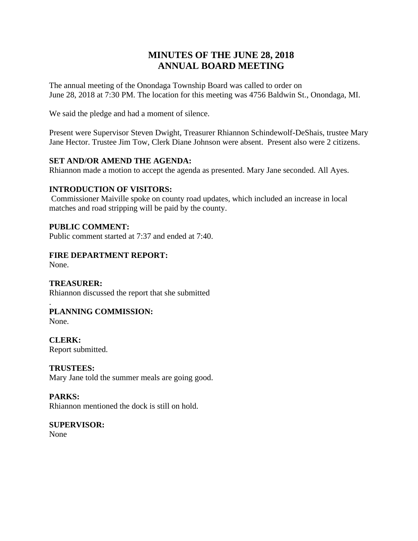# **MINUTES OF THE JUNE 28, 2018 ANNUAL BOARD MEETING**

The annual meeting of the Onondaga Township Board was called to order on June 28, 2018 at 7:30 PM. The location for this meeting was 4756 Baldwin St., Onondaga, MI.

We said the pledge and had a moment of silence.

Present were Supervisor Steven Dwight, Treasurer Rhiannon Schindewolf-DeShais, trustee Mary Jane Hector. Trustee Jim Tow, Clerk Diane Johnson were absent. Present also were 2 citizens.

## **SET AND/OR AMEND THE AGENDA:**

Rhiannon made a motion to accept the agenda as presented. Mary Jane seconded. All Ayes.

# **INTRODUCTION OF VISITORS:**

Commissioner Maiville spoke on county road updates, which included an increase in local matches and road stripping will be paid by the county.

## **PUBLIC COMMENT:**

Public comment started at 7:37 and ended at 7:40.

## **FIRE DEPARTMENT REPORT:**

None.

# **TREASURER:**

Rhiannon discussed the report that she submitted

## . **PLANNING COMMISSION:**

None.

**CLERK:** Report submitted.

**TRUSTEES:** Mary Jane told the summer meals are going good.

# **PARKS:**

Rhiannon mentioned the dock is still on hold.

**SUPERVISOR:** None